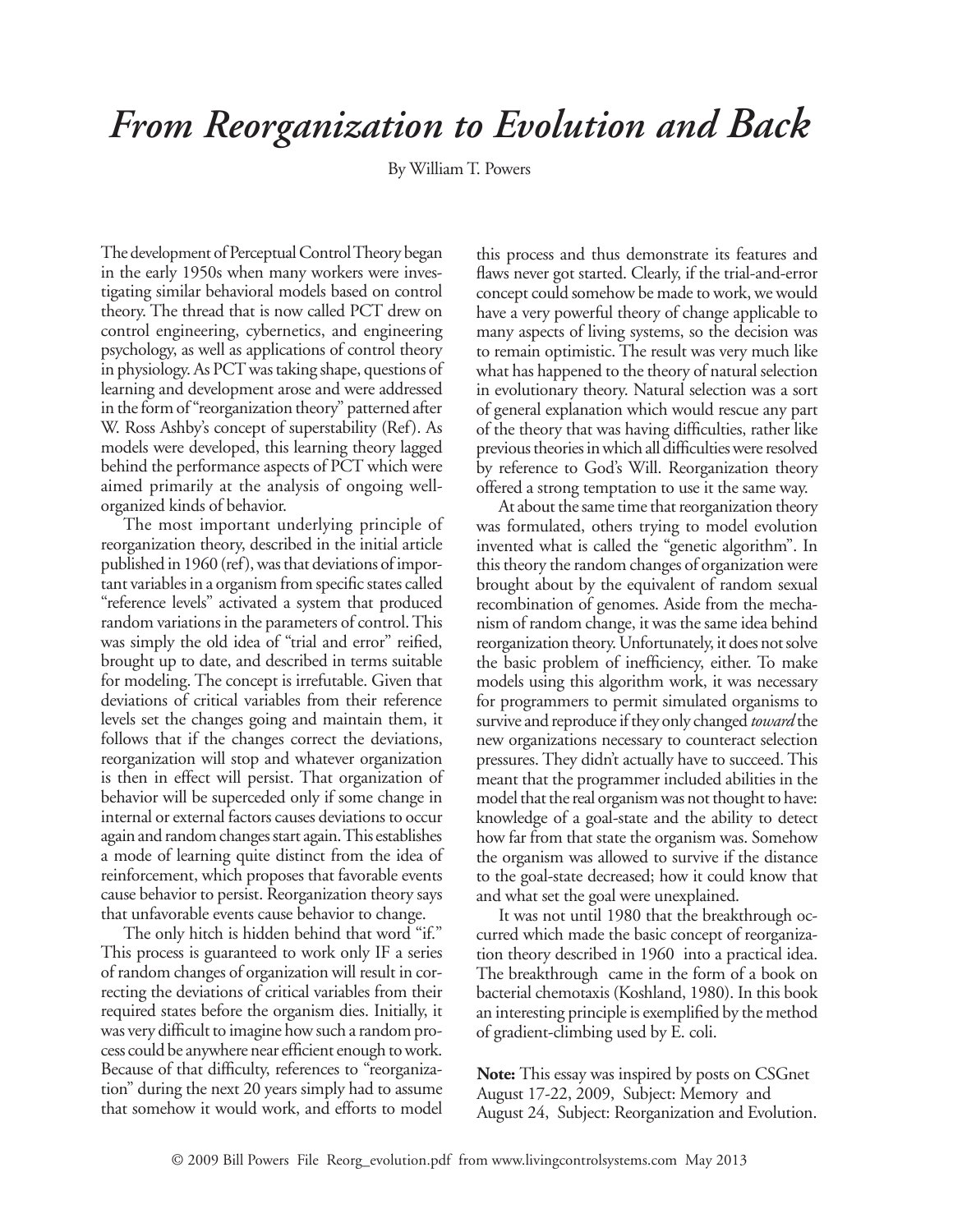## *From Reorganization to Evolution and Back*

By William T. Powers

The development of Perceptual Control Theory began in the early 1950s when many workers were investigating similar behavioral models based on control theory. The thread that is now called PCT drew on control engineering, cybernetics, and engineering psychology, as well as applications of control theory in physiology. As PCT was taking shape, questions of learning and development arose and were addressed in the form of "reorganization theory" patterned after W. Ross Ashby's concept of superstability (Ref). As models were developed, this learning theory lagged behind the performance aspects of PCT which were aimed primarily at the analysis of ongoing wellorganized kinds of behavior.

The most important underlying principle of reorganization theory, described in the initial article published in 1960 (ref), was that deviations of important variables in a organism from specific states called "reference levels" activated a system that produced random variations in the parameters of control. This was simply the old idea of "trial and error" reified, brought up to date, and described in terms suitable for modeling. The concept is irrefutable. Given that deviations of critical variables from their reference levels set the changes going and maintain them, it follows that if the changes correct the deviations, reorganization will stop and whatever organization is then in effect will persist. That organization of behavior will be superceded only if some change in internal or external factors causes deviations to occur again and random changes start again. This establishes a mode of learning quite distinct from the idea of reinforcement, which proposes that favorable events cause behavior to persist. Reorganization theory says that unfavorable events cause behavior to change.

The only hitch is hidden behind that word "if." This process is guaranteed to work only IF a series of random changes of organization will result in correcting the deviations of critical variables from their required states before the organism dies. Initially, it was very difficult to imagine how such a random process could be anywhere near efficient enough to work. Because of that difficulty, references to "reorganization" during the next 20 years simply had to assume that somehow it would work, and efforts to model this process and thus demonstrate its features and flaws never got started. Clearly, if the trial-and-error concept could somehow be made to work, we would have a very powerful theory of change applicable to many aspects of living systems, so the decision was to remain optimistic. The result was very much like what has happened to the theory of natural selection in evolutionary theory. Natural selection was a sort of general explanation which would rescue any part of the theory that was having difficulties, rather like previous theories in which all difficulties were resolved by reference to God's Will. Reorganization theory offered a strong temptation to use it the same way.

At about the same time that reorganization theory was formulated, others trying to model evolution invented what is called the "genetic algorithm". In this theory the random changes of organization were brought about by the equivalent of random sexual recombination of genomes. Aside from the mechanism of random change, it was the same idea behind reorganization theory. Unfortunately, it does not solve the basic problem of inefficiency, either. To make models using this algorithm work, it was necessary for programmers to permit simulated organisms to survive and reproduce if they only changed *toward* the new organizations necessary to counteract selection pressures. They didn't actually have to succeed. This meant that the programmer included abilities in the model that the real organism was not thought to have: knowledge of a goal-state and the ability to detect how far from that state the organism was. Somehow the organism was allowed to survive if the distance to the goal-state decreased; how it could know that and what set the goal were unexplained.

It was not until 1980 that the breakthrough occurred which made the basic concept of reorganization theory described in 1960 into a practical idea. The breakthrough came in the form of a book on bacterial chemotaxis (Koshland, 1980). In this book an interesting principle is exemplified by the method of gradient-climbing used by E. coli.

**Note:** This essay was inspired by posts on CSGnet August 17-22, 2009, Subject: Memory and August 24, Subject: Reorganization and Evolution.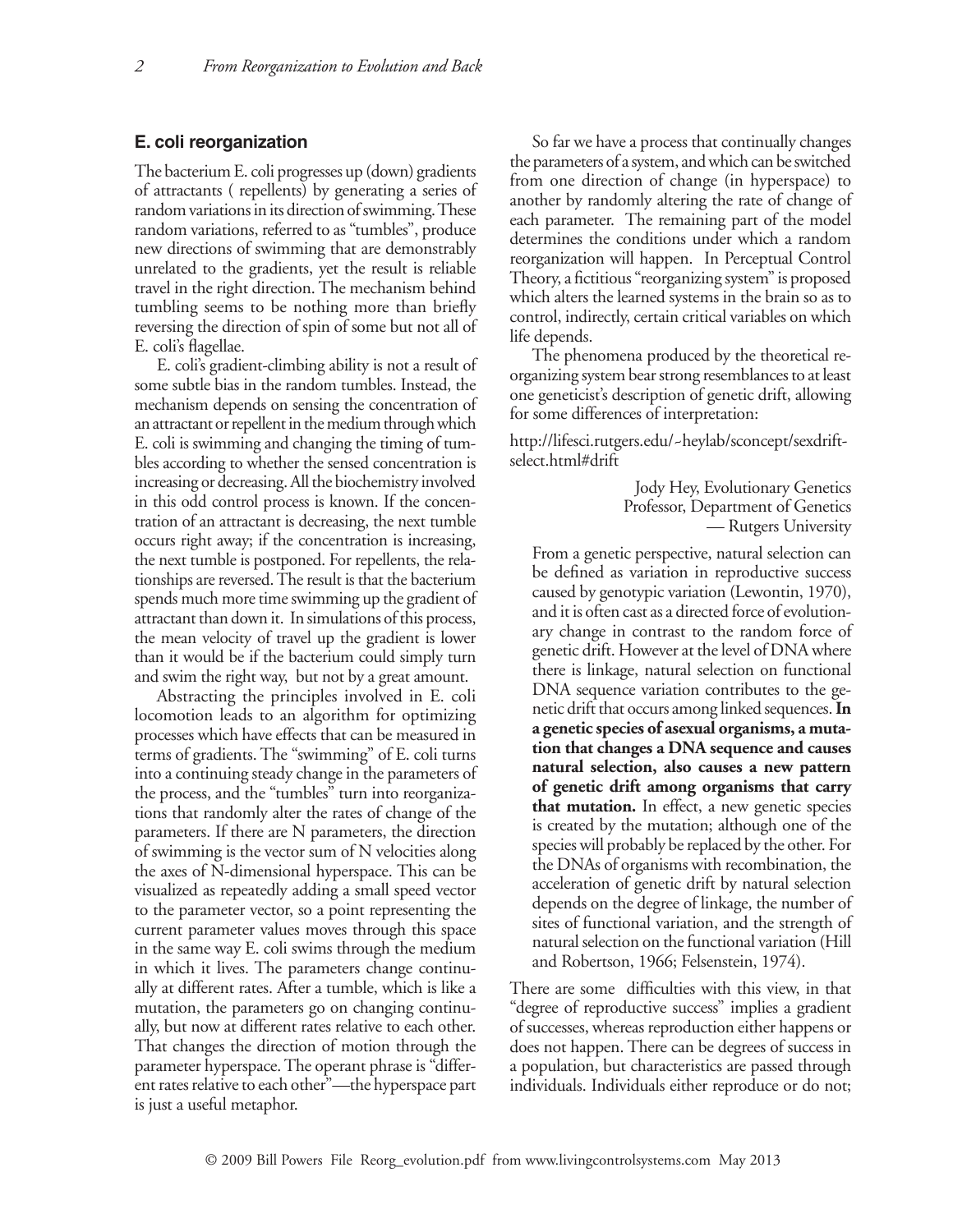## **E. coli reorganization**

The bacterium E. coli progresses up (down) gradients of attractants ( repellents) by generating a series of random variations in its direction of swimming. These random variations, referred to as "tumbles", produce new directions of swimming that are demonstrably unrelated to the gradients, yet the result is reliable travel in the right direction. The mechanism behind tumbling seems to be nothing more than briefly reversing the direction of spin of some but not all of E. coli's flagellae.

E. coli's gradient-climbing ability is not a result of some subtle bias in the random tumbles. Instead, the mechanism depends on sensing the concentration of an attractant or repellent in the medium through which E. coli is swimming and changing the timing of tumbles according to whether the sensed concentration is increasing or decreasing. All the biochemistry involved in this odd control process is known. If the concentration of an attractant is decreasing, the next tumble occurs right away; if the concentration is increasing, the next tumble is postponed. For repellents, the relationships are reversed. The result is that the bacterium spends much more time swimming up the gradient of attractant than down it. In simulations of this process, the mean velocity of travel up the gradient is lower than it would be if the bacterium could simply turn and swim the right way, but not by a great amount.

Abstracting the principles involved in E. coli locomotion leads to an algorithm for optimizing processes which have effects that can be measured in terms of gradients. The "swimming" of E. coli turns into a continuing steady change in the parameters of the process, and the "tumbles" turn into reorganizations that randomly alter the rates of change of the parameters. If there are N parameters, the direction of swimming is the vector sum of N velocities along the axes of N-dimensional hyperspace. This can be visualized as repeatedly adding a small speed vector to the parameter vector, so a point representing the current parameter values moves through this space in the same way E. coli swims through the medium in which it lives. The parameters change continually at different rates. After a tumble, which is like a mutation, the parameters go on changing continually, but now at different rates relative to each other. That changes the direction of motion through the parameter hyperspace. The operant phrase is "different rates relative to each other"—the hyperspace part is just a useful metaphor.

So far we have a process that continually changes the parameters of a system, and which can be switched from one direction of change (in hyperspace) to another by randomly altering the rate of change of each parameter. The remaining part of the model determines the conditions under which a random reorganization will happen. In Perceptual Control Theory, a fictitious "reorganizing system" is proposed which alters the learned systems in the brain so as to control, indirectly, certain critical variables on which life depends.

The phenomena produced by the theoretical reorganizing system bear strong resemblances to at least one geneticist's description of genetic drift, allowing for some differences of interpretation:

http://lifesci.rutgers.edu/~heylab/sconcept/sexdriftselect.html#drift

> Jody Hey, Evolutionary Genetics Professor, Department of Genetics — Rutgers University

From a genetic perspective, natural selection can be defined as variation in reproductive success caused by genotypic variation (Lewontin, 1970), and it is often cast as a directed force of evolutionary change in contrast to the random force of genetic drift. However at the level of DNA where there is linkage, natural selection on functional DNA sequence variation contributes to the genetic drift that occurs among linked sequences. **In a genetic species of asexual organisms, a mutation that changes a DNA sequence and causes natural selection, also causes a new pattern of genetic drift among organisms that carry that mutation.** In effect, a new genetic species is created by the mutation; although one of the species will probably be replaced by the other. For the DNAs of organisms with recombination, the acceleration of genetic drift by natural selection depends on the degree of linkage, the number of sites of functional variation, and the strength of natural selection on the functional variation (Hill and Robertson, 1966; Felsenstein, 1974).

There are some difficulties with this view, in that "degree of reproductive success" implies a gradient of successes, whereas reproduction either happens or does not happen. There can be degrees of success in a population, but characteristics are passed through individuals. Individuals either reproduce or do not;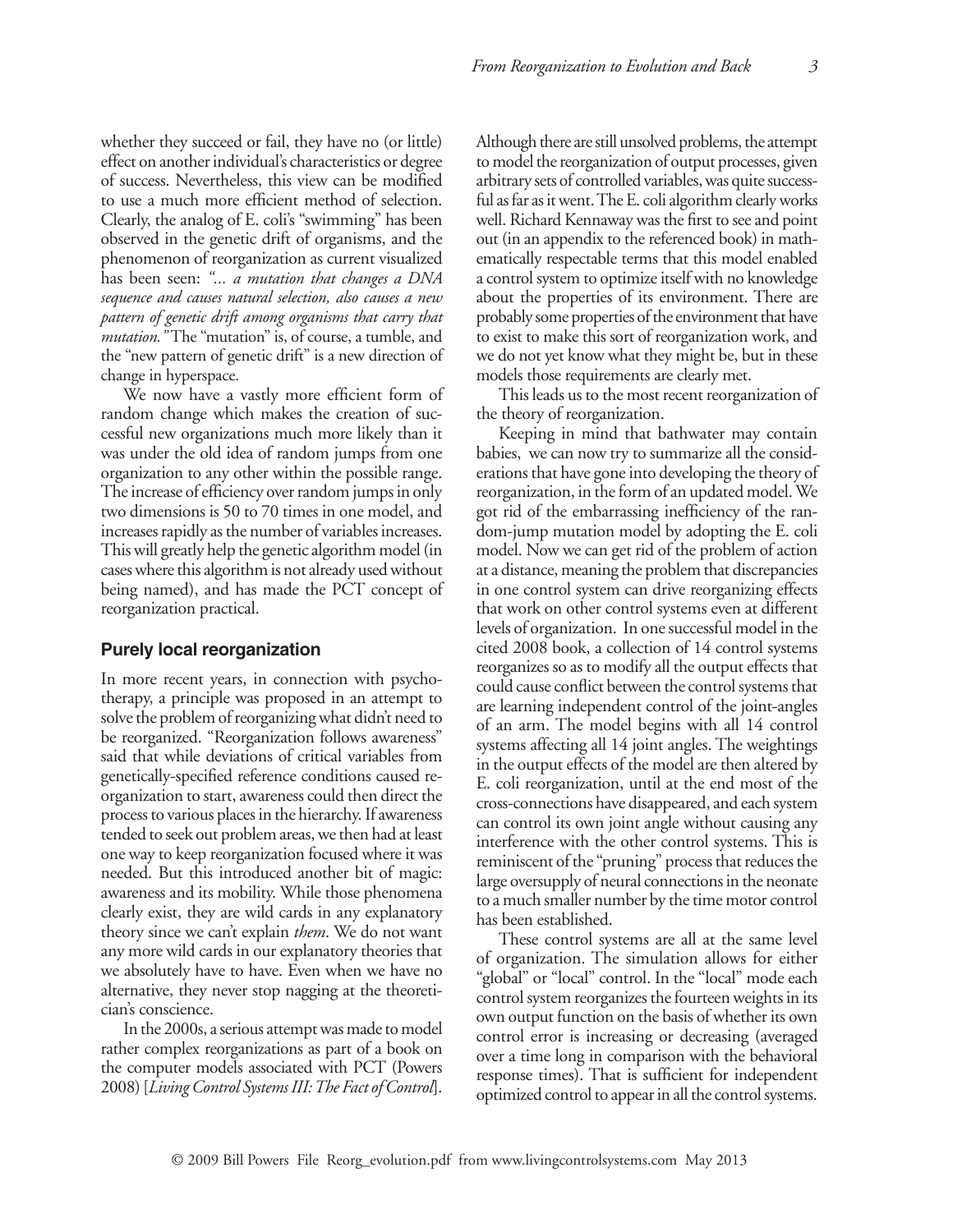whether they succeed or fail, they have no (or little) effect on another individual's characteristics or degree of success. Nevertheless, this view can be modified to use a much more efficient method of selection. Clearly, the analog of E. coli's "swimming" has been observed in the genetic drift of organisms, and the phenomenon of reorganization as current visualized has been seen: *"... a mutation that changes a DNA sequence and causes natural selection, also causes a new pattern of genetic drift among organisms that carry that mutation."* The "mutation" is, of course, a tumble, and the "new pattern of genetic drift" is a new direction of change in hyperspace.

We now have a vastly more efficient form of random change which makes the creation of successful new organizations much more likely than it was under the old idea of random jumps from one organization to any other within the possible range. The increase of efficiency over random jumps in only two dimensions is 50 to 70 times in one model, and increases rapidly as the number of variables increases. This will greatly help the genetic algorithm model (in cases where this algorithm is not already used without being named), and has made the PCT concept of reorganization practical.

## **Purely local reorganization**

In more recent years, in connection with psychotherapy, a principle was proposed in an attempt to solve the problem of reorganizing what didn't need to be reorganized. "Reorganization follows awareness" said that while deviations of critical variables from genetically-specified reference conditions caused reorganization to start, awareness could then direct the process to various places in the hierarchy. If awareness tended to seek out problem areas, we then had at least one way to keep reorganization focused where it was needed. But this introduced another bit of magic: awareness and its mobility. While those phenomena clearly exist, they are wild cards in any explanatory theory since we can't explain *them*. We do not want any more wild cards in our explanatory theories that we absolutely have to have. Even when we have no alternative, they never stop nagging at the theoretician's conscience.

In the 2000s, a serious attempt was made to model rather complex reorganizations as part of a book on the computer models associated with PCT (Powers 2008) [*Living Control Systems III: The Fact of Control*]. Although there are still unsolved problems, the attempt to model the reorganization of output processes, given arbitrary sets of controlled variables, was quite successful as far as it went. The E. coli algorithm clearly works well. Richard Kennaway was the first to see and point out (in an appendix to the referenced book) in mathematically respectable terms that this model enabled a control system to optimize itself with no knowledge about the properties of its environment. There are probably some properties of the environment that have to exist to make this sort of reorganization work, and we do not yet know what they might be, but in these models those requirements are clearly met.

This leads us to the most recent reorganization of the theory of reorganization.

Keeping in mind that bathwater may contain babies, we can now try to summarize all the considerations that have gone into developing the theory of reorganization, in the form of an updated model. We got rid of the embarrassing inefficiency of the random-jump mutation model by adopting the E. coli model. Now we can get rid of the problem of action at a distance, meaning the problem that discrepancies in one control system can drive reorganizing effects that work on other control systems even at different levels of organization. In one successful model in the cited 2008 book, a collection of 14 control systems reorganizes so as to modify all the output effects that could cause conflict between the control systems that are learning independent control of the joint-angles of an arm. The model begins with all 14 control systems affecting all 14 joint angles. The weightings in the output effects of the model are then altered by E. coli reorganization, until at the end most of the cross-connections have disappeared, and each system can control its own joint angle without causing any interference with the other control systems. This is reminiscent of the "pruning" process that reduces the large oversupply of neural connections in the neonate to a much smaller number by the time motor control has been established.

These control systems are all at the same level of organization. The simulation allows for either "global" or "local" control. In the "local" mode each control system reorganizes the fourteen weights in its own output function on the basis of whether its own control error is increasing or decreasing (averaged over a time long in comparison with the behavioral response times). That is sufficient for independent optimized control to appear in all the control systems.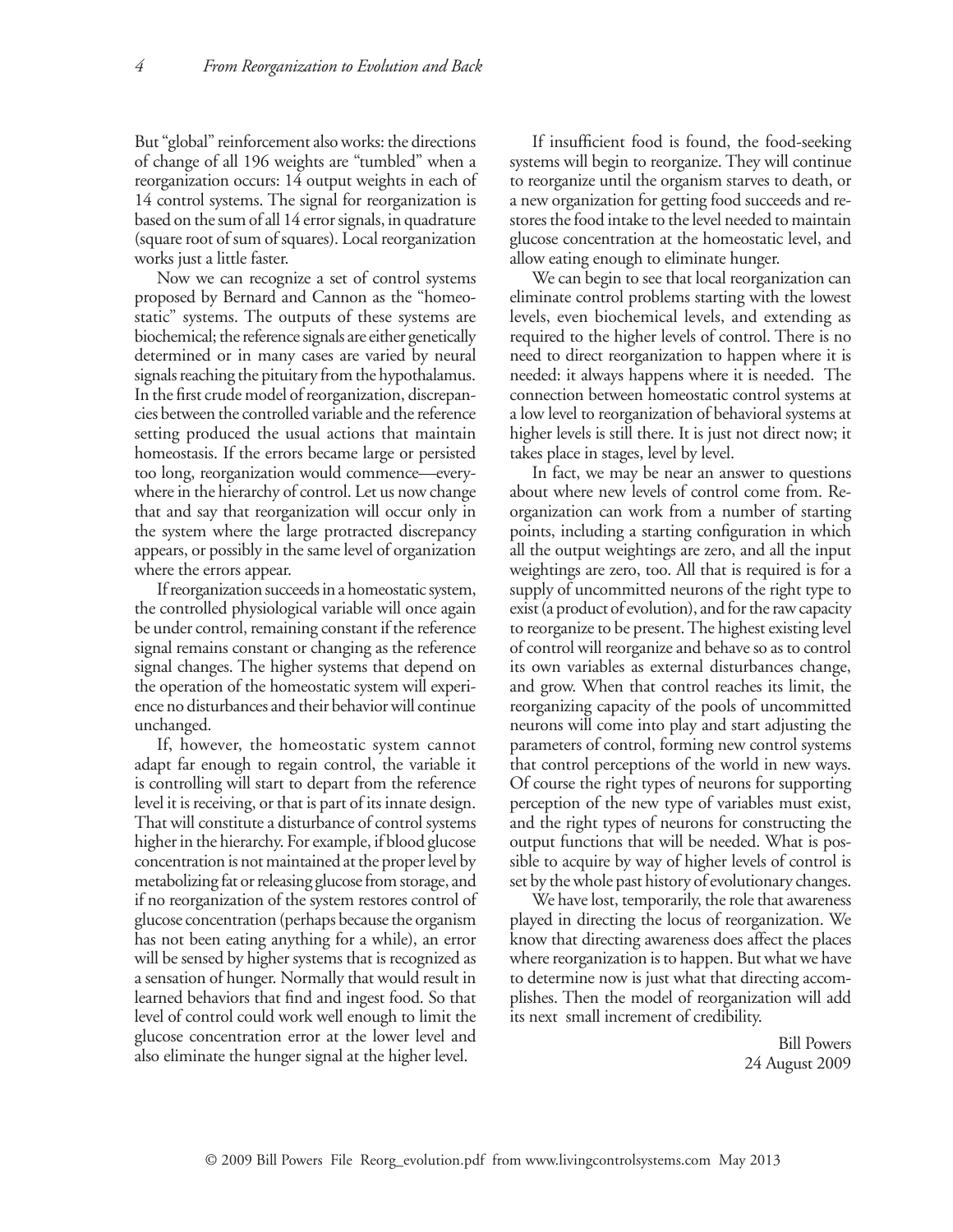But "global" reinforcement also works: the directions of change of all 196 weights are "tumbled" when a reorganization occurs: 14 output weights in each of 14 control systems. The signal for reorganization is based on the sum of all 14 error signals, in quadrature (square root of sum of squares). Local reorganization works just a little faster.

Now we can recognize a set of control systems proposed by Bernard and Cannon as the "homeostatic" systems. The outputs of these systems are biochemical; the reference signals are either genetically determined or in many cases are varied by neural signals reaching the pituitary from the hypothalamus. In the first crude model of reorganization, discrepancies between the controlled variable and the reference setting produced the usual actions that maintain homeostasis. If the errors became large or persisted too long, reorganization would commence—everywhere in the hierarchy of control. Let us now change that and say that reorganization will occur only in the system where the large protracted discrepancy appears, or possibly in the same level of organization where the errors appear.

If reorganization succeeds in a homeostatic system, the controlled physiological variable will once again be under control, remaining constant if the reference signal remains constant or changing as the reference signal changes. The higher systems that depend on the operation of the homeostatic system will experience no disturbances and their behavior will continue unchanged.

If, however, the homeostatic system cannot adapt far enough to regain control, the variable it is controlling will start to depart from the reference level it is receiving, or that is part of its innate design. That will constitute a disturbance of control systems higher in the hierarchy. For example, if blood glucose concentration is not maintained at the proper level by metabolizing fat or releasing glucose from storage, and if no reorganization of the system restores control of glucose concentration (perhaps because the organism has not been eating anything for a while), an error will be sensed by higher systems that is recognized as a sensation of hunger. Normally that would result in learned behaviors that find and ingest food. So that level of control could work well enough to limit the glucose concentration error at the lower level and also eliminate the hunger signal at the higher level.

If insufficient food is found, the food-seeking systems will begin to reorganize. They will continue to reorganize until the organism starves to death, or a new organization for getting food succeeds and restores the food intake to the level needed to maintain glucose concentration at the homeostatic level, and allow eating enough to eliminate hunger.

We can begin to see that local reorganization can eliminate control problems starting with the lowest levels, even biochemical levels, and extending as required to the higher levels of control. There is no need to direct reorganization to happen where it is needed: it always happens where it is needed. The connection between homeostatic control systems at a low level to reorganization of behavioral systems at higher levels is still there. It is just not direct now; it takes place in stages, level by level.

In fact, we may be near an answer to questions about where new levels of control come from. Reorganization can work from a number of starting points, including a starting configuration in which all the output weightings are zero, and all the input weightings are zero, too. All that is required is for a supply of uncommitted neurons of the right type to exist (a product of evolution), and for the raw capacity to reorganize to be present. The highest existing level of control will reorganize and behave so as to control its own variables as external disturbances change, and grow. When that control reaches its limit, the reorganizing capacity of the pools of uncommitted neurons will come into play and start adjusting the parameters of control, forming new control systems that control perceptions of the world in new ways. Of course the right types of neurons for supporting perception of the new type of variables must exist, and the right types of neurons for constructing the output functions that will be needed. What is possible to acquire by way of higher levels of control is set by the whole past history of evolutionary changes.

We have lost, temporarily, the role that awareness played in directing the locus of reorganization. We know that directing awareness does affect the places where reorganization is to happen. But what we have to determine now is just what that directing accomplishes. Then the model of reorganization will add its next small increment of credibility.

> Bill Powers 24 August 2009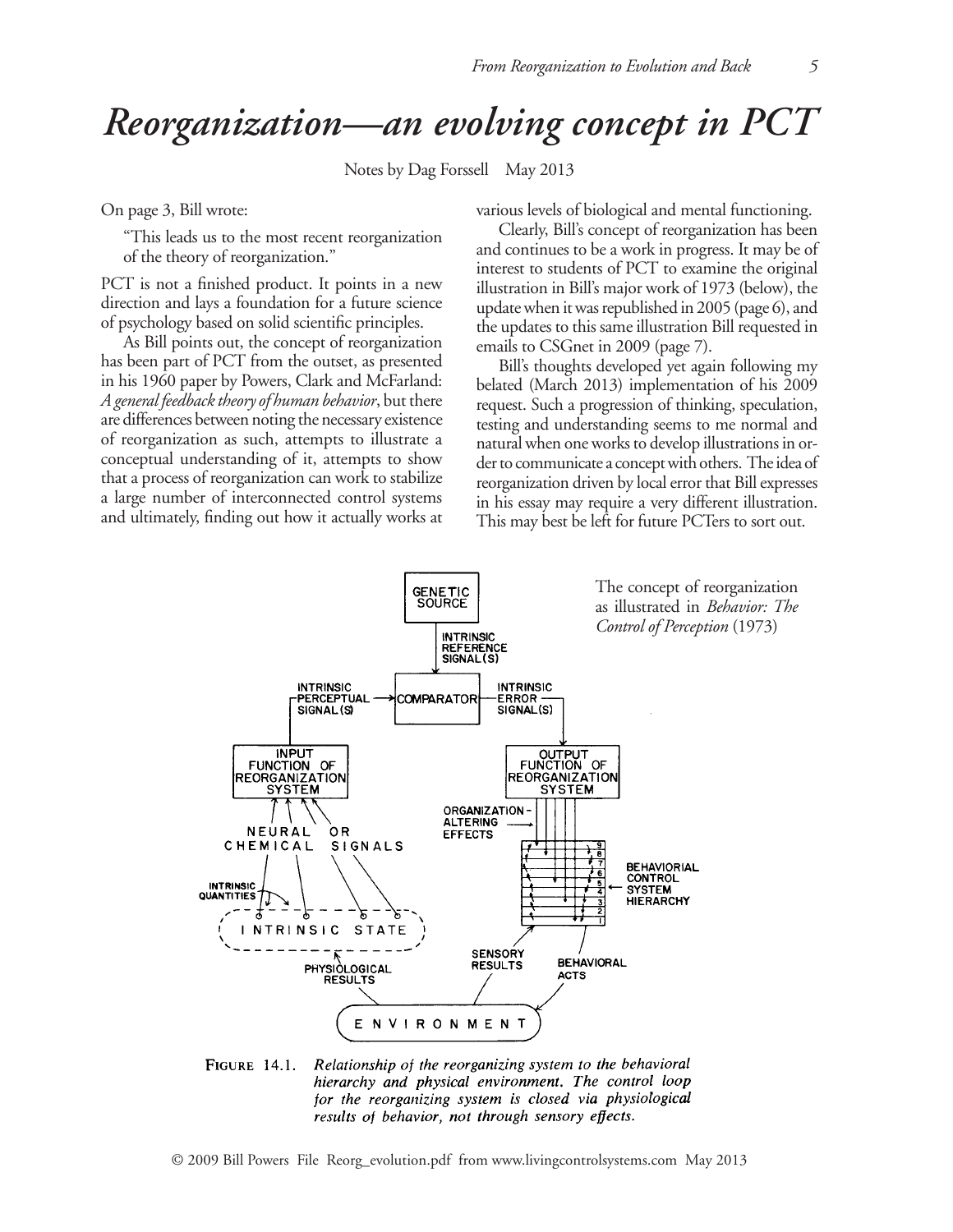## *Reorganization—an evolving concept in PCT*

Notes by Dag Forssell May 2013

On page 3, Bill wrote:

"This leads us to the most recent reorganization of the theory of reorganization."

PCT is not a finished product. It points in a new direction and lays a foundation for a future science of psychology based on solid scientific principles.

As Bill points out, the concept of reorganization has been part of PCT from the outset, as presented in his 1960 paper by Powers, Clark and McFarland: *A general feedback theory of human behavior*, but there are differences between noting the necessary existence of reorganization as such, attempts to illustrate a conceptual understanding of it, attempts to show that a process of reorganization can work to stabilize a large number of interconnected control systems and ultimately, finding out how it actually works at various levels of biological and mental functioning.

Clearly, Bill's concept of reorganization has been and continues to be a work in progress. It may be of interest to students of PCT to examine the original illustration in Bill's major work of 1973 (below), the update when it was republished in 2005 (page 6), and the updates to this same illustration Bill requested in emails to CSGnet in 2009 (page 7).

Bill's thoughts developed yet again following my belated (March 2013) implementation of his 2009 request. Such a progression of thinking, speculation, testing and understanding seems to me normal and natural when one works to develop illustrations in order to communicate a concept with others. The idea of reorganization driven by local error that Bill expresses in his essay may require a very different illustration. This may best be left for future PCTers to sort out.



**FIGURE 14.1.** Relationship of the reorganizing system to the behavioral hierarchy and physical environment. The control loop for the reorganizing system is closed via physiological results of behavior, not through sensory effects.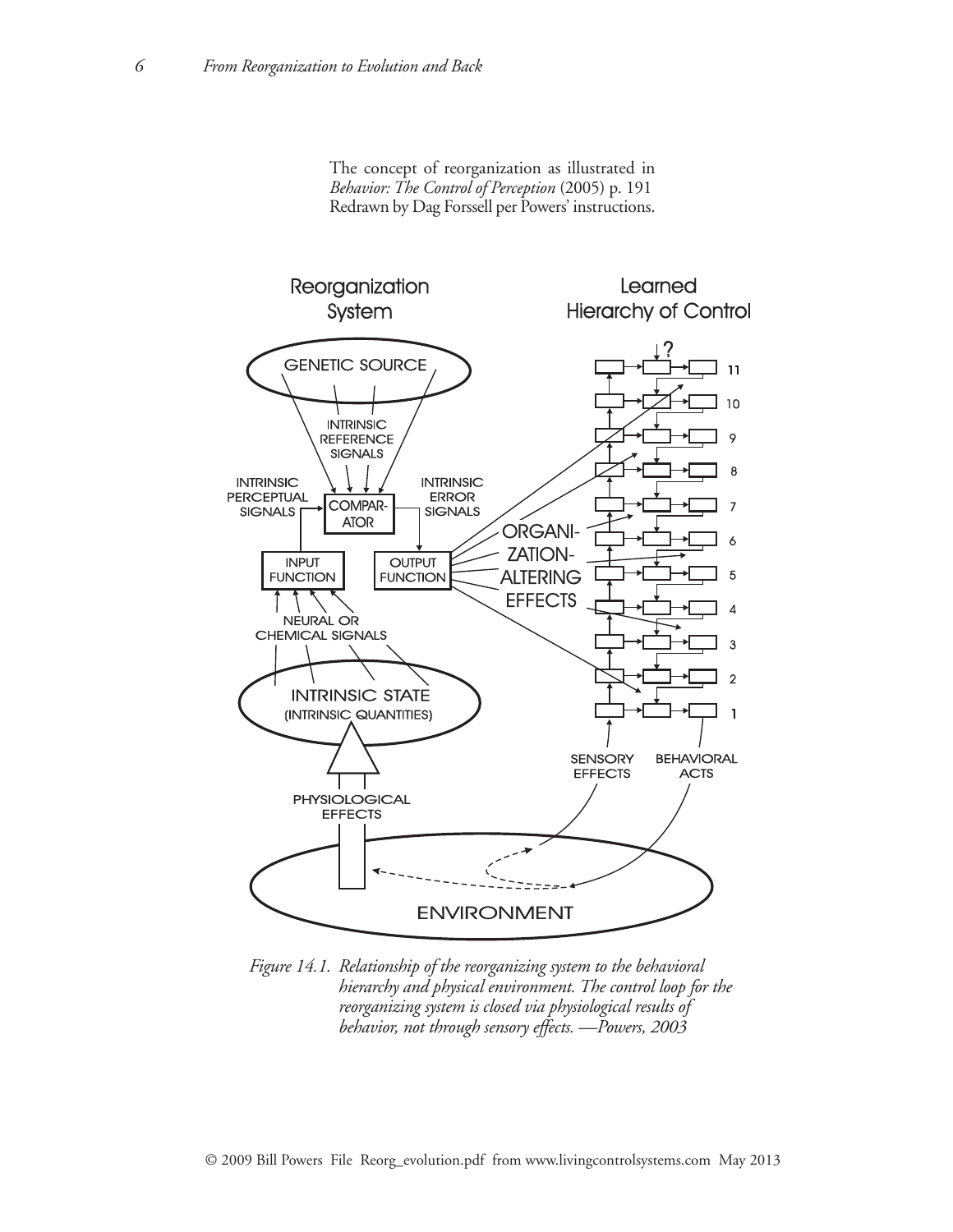The concept of reorganization as illustrated in *Behavior: The Control of Perception* (2005) p. 191 Redrawn by Dag Forssell per Powers' instructions.



*Figure 14.1. Relationship of the reorganizing system to the behavioral hierarchy and physical environment. The control loop for the reorganizing system is closed via physiological results of behavior, not through sensory effects. —Powers, 2003*